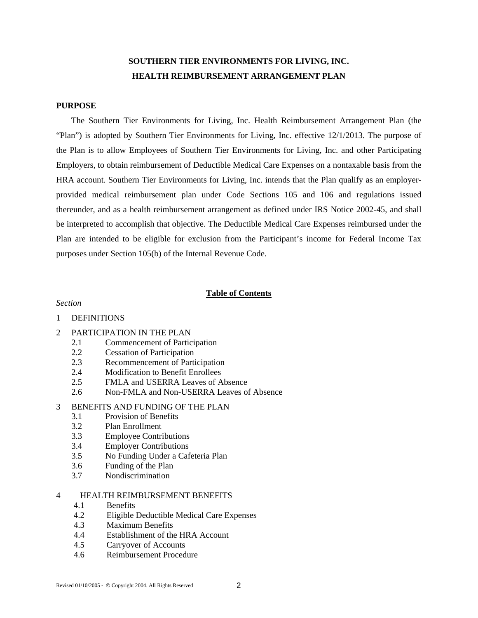# **SOUTHERN TIER ENVIRONMENTS FOR LIVING, INC. HEALTH REIMBURSEMENT ARRANGEMENT PLAN**

# **PURPOSE**

 The Southern Tier Environments for Living, Inc. Health Reimbursement Arrangement Plan (the "Plan") is adopted by Southern Tier Environments for Living, Inc. effective 12/1/2013. The purpose of the Plan is to allow Employees of Southern Tier Environments for Living, Inc. and other Participating Employers, to obtain reimbursement of Deductible Medical Care Expenses on a nontaxable basis from the HRA account. Southern Tier Environments for Living, Inc. intends that the Plan qualify as an employerprovided medical reimbursement plan under Code Sections 105 and 106 and regulations issued thereunder, and as a health reimbursement arrangement as defined under IRS Notice 2002-45, and shall be interpreted to accomplish that objective. The Deductible Medical Care Expenses reimbursed under the Plan are intended to be eligible for exclusion from the Participant's income for Federal Income Tax purposes under Section 105(b) of the Internal Revenue Code.

## **Table of Contents**

## *Section*

## 1 DEFINITIONS

- 2 PARTICIPATION IN THE PLAN
	- 2.1 Commencement of Participation
	- 2.2 Cessation of Participation
	- 2.3 Recommencement of Participation
	- 2.4 Modification to Benefit Enrollees
	- 2.5 FMLA and USERRA Leaves of Absence
	- 2.6 Non-FMLA and Non-USERRA Leaves of Absence

# 3 BENEFITS AND FUNDING OF THE PLAN

- 3.1 Provision of Benefits
- 3.2 Plan Enrollment
- 3.3 Employee Contributions
- 3.4 Employer Contributions
- 3.5 No Funding Under a Cafeteria Plan
- 3.6 Funding of the Plan
- 3.7 Nondiscrimination

# 4 HEALTH REIMBURSEMENT BENEFITS

- 4.1 Benefits
- 4.2 Eligible Deductible Medical Care Expenses
- 4.3 Maximum Benefits
- 4.4 Establishment of the HRA Account
- 4.5 Carryover of Accounts
- 4.6 Reimbursement Procedure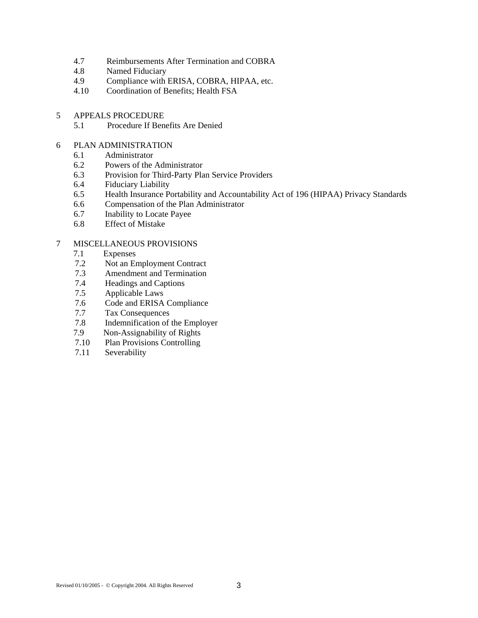- 4.7 Reimbursements After Termination and COBRA
- 4.8 Named Fiduciary
- 4.9 Compliance with ERISA, COBRA, HIPAA, etc.
- 4.10 Coordination of Benefits; Health FSA
- 5 APPEALS PROCEDURE<br>5.1 Procedure If Bene
	- 5.1 Procedure If Benefits Are Denied
- 6 PLAN ADMINISTRATION
	- 6.1 Administrator
	- 6.2 Powers of the Administrator
	- 6.3 Provision for Third-Party Plan Service Providers
	- 6.4 Fiduciary Liability
	- 6.5 Health Insurance Portability and Accountability Act of 196 (HIPAA) Privacy Standards
	- 6.6 Compensation of the Plan Administrator
	- 6.7 Inability to Locate Payee
	- 6.8 Effect of Mistake

# 7 MISCELLANEOUS PROVISIONS

- 7.1 Expenses<br>7.2 Not an Exp
- Not an Employment Contract
- 7.3 Amendment and Termination
- 7.4 Headings and Captions
- 7.5 Applicable Laws
- 7.6 Code and ERISA Compliance
- 7.7 Tax Consequences
- 7.8 Indemnification of the Employer
- 7.9 Non-Assignability of Rights
- 7.10 Plan Provisions Controlling
- 7.11 Severability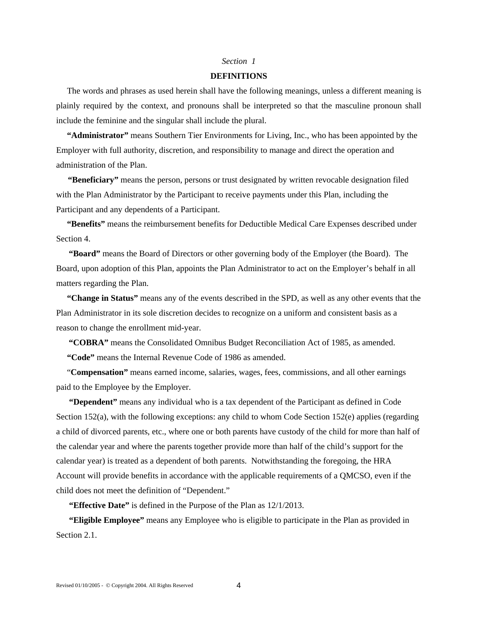#### *Section 1*

#### **DEFINITIONS**

 The words and phrases as used herein shall have the following meanings, unless a different meaning is plainly required by the context, and pronouns shall be interpreted so that the masculine pronoun shall include the feminine and the singular shall include the plural.

 **"Administrator"** means Southern Tier Environments for Living, Inc., who has been appointed by the Employer with full authority, discretion, and responsibility to manage and direct the operation and administration of the Plan.

**"Beneficiary"** means the person, persons or trust designated by written revocable designation filed with the Plan Administrator by the Participant to receive payments under this Plan, including the Participant and any dependents of a Participant.

 **"Benefits"** means the reimbursement benefits for Deductible Medical Care Expenses described under Section 4.

 **"Board"** means the Board of Directors or other governing body of the Employer (the Board). The Board, upon adoption of this Plan, appoints the Plan Administrator to act on the Employer's behalf in all matters regarding the Plan.

 **"Change in Status"** means any of the events described in the SPD, as well as any other events that the Plan Administrator in its sole discretion decides to recognize on a uniform and consistent basis as a reason to change the enrollment mid-year.

 **"COBRA"** means the Consolidated Omnibus Budget Reconciliation Act of 1985, as amended.

 **"Code"** means the Internal Revenue Code of 1986 as amended.

 "**Compensation"** means earned income, salaries, wages, fees, commissions, and all other earnings paid to the Employee by the Employer.

 **"Dependent"** means any individual who is a tax dependent of the Participant as defined in Code Section 152(a), with the following exceptions: any child to whom Code Section 152(e) applies (regarding a child of divorced parents, etc., where one or both parents have custody of the child for more than half of the calendar year and where the parents together provide more than half of the child's support for the calendar year) is treated as a dependent of both parents. Notwithstanding the foregoing, the HRA Account will provide benefits in accordance with the applicable requirements of a QMCSO, even if the child does not meet the definition of "Dependent."

**"Effective Date"** is defined in the Purpose of the Plan as 12/1/2013.

**"Eligible Employee"** means any Employee who is eligible to participate in the Plan as provided in Section 2.1.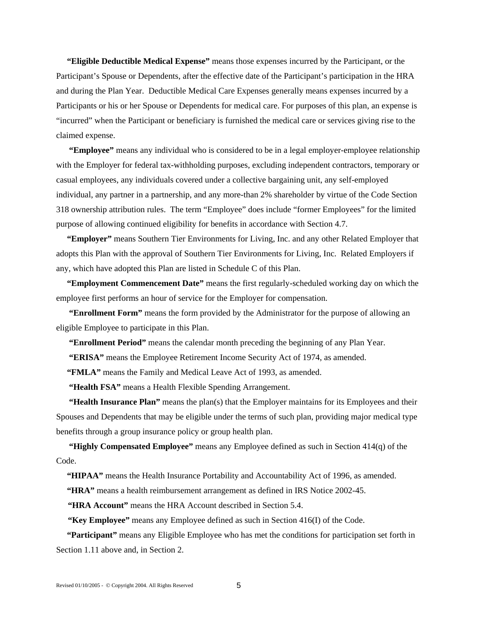**"Eligible Deductible Medical Expense"** means those expenses incurred by the Participant, or the Participant's Spouse or Dependents, after the effective date of the Participant's participation in the HRA and during the Plan Year. Deductible Medical Care Expenses generally means expenses incurred by a Participants or his or her Spouse or Dependents for medical care. For purposes of this plan, an expense is "incurred" when the Participant or beneficiary is furnished the medical care or services giving rise to the claimed expense.

**"Employee"** means any individual who is considered to be in a legal employer-employee relationship with the Employer for federal tax-withholding purposes, excluding independent contractors, temporary or casual employees, any individuals covered under a collective bargaining unit, any self-employed individual, any partner in a partnership, and any more-than 2% shareholder by virtue of the Code Section 318 ownership attribution rules. The term "Employee" does include "former Employees" for the limited purpose of allowing continued eligibility for benefits in accordance with Section 4.7.

 **"Employer"** means Southern Tier Environments for Living, Inc. and any other Related Employer that adopts this Plan with the approval of Southern Tier Environments for Living, Inc. Related Employers if any, which have adopted this Plan are listed in Schedule C of this Plan.

 **"Employment Commencement Date"** means the first regularly-scheduled working day on which the employee first performs an hour of service for the Employer for compensation.

**"Enrollment Form"** means the form provided by the Administrator for the purpose of allowing an eligible Employee to participate in this Plan.

 **"Enrollment Period"** means the calendar month preceding the beginning of any Plan Year.

 **"ERISA"** means the Employee Retirement Income Security Act of 1974, as amended.

 **"FMLA"** means the Family and Medical Leave Act of 1993, as amended.

**"Health FSA"** means a Health Flexible Spending Arrangement.

**"Health Insurance Plan"** means the plan(s) that the Employer maintains for its Employees and their Spouses and Dependents that may be eligible under the terms of such plan, providing major medical type benefits through a group insurance policy or group health plan.

**"Highly Compensated Employee"** means any Employee defined as such in Section 414(q) of the Code.

 **"HIPAA"** means the Health Insurance Portability and Accountability Act of 1996, as amended.

 **"HRA"** means a health reimbursement arrangement as defined in IRS Notice 2002-45.

**"HRA Account"** means the HRA Account described in Section 5.4.

**"Key Employee"** means any Employee defined as such in Section 416(I) of the Code.

 **"Participant"** means any Eligible Employee who has met the conditions for participation set forth in Section 1.11 above and, in Section 2.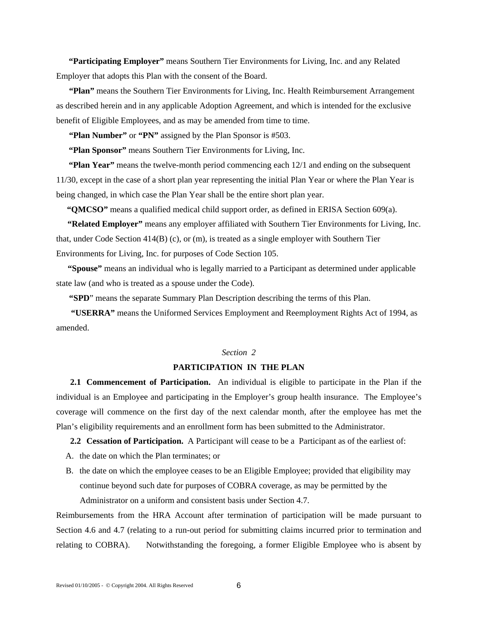**"Participating Employer"** means Southern Tier Environments for Living, Inc. and any Related Employer that adopts this Plan with the consent of the Board.

 **"Plan"** means the Southern Tier Environments for Living, Inc. Health Reimbursement Arrangement as described herein and in any applicable Adoption Agreement, and which is intended for the exclusive benefit of Eligible Employees, and as may be amended from time to time.

 **"Plan Number"** or **"PN"** assigned by the Plan Sponsor is #503.

 **"Plan Sponsor"** means Southern Tier Environments for Living, Inc.

 **"Plan Year"** means the twelve-month period commencing each 12/1 and ending on the subsequent 11/30, except in the case of a short plan year representing the initial Plan Year or where the Plan Year is being changed, in which case the Plan Year shall be the entire short plan year.

 **"QMCSO"** means a qualified medical child support order, as defined in ERISA Section 609(a).

 **"Related Employer"** means any employer affiliated with Southern Tier Environments for Living, Inc. that, under Code Section 414(B) (c), or (m), is treated as a single employer with Southern Tier Environments for Living, Inc. for purposes of Code Section 105.

 **"Spouse"** means an individual who is legally married to a Participant as determined under applicable state law (and who is treated as a spouse under the Code).

 **"SPD**" means the separate Summary Plan Description describing the terms of this Plan.

 **"USERRA"** means the Uniformed Services Employment and Reemployment Rights Act of 1994, as amended.

# *Section 2*

## **PARTICIPATION IN THE PLAN**

**2.1 Commencement of Participation.** An individual is eligible to participate in the Plan if the individual is an Employee and participating in the Employer's group health insurance. The Employee's coverage will commence on the first day of the next calendar month, after the employee has met the Plan's eligibility requirements and an enrollment form has been submitted to the Administrator.

**2.2 Cessation of Participation.** A Participant will cease to be a Participant as of the earliest of:

- A. the date on which the Plan terminates; or
- B. the date on which the employee ceases to be an Eligible Employee; provided that eligibility may continue beyond such date for purposes of COBRA coverage, as may be permitted by the Administrator on a uniform and consistent basis under Section 4.7.

Reimbursements from the HRA Account after termination of participation will be made pursuant to Section 4.6 and 4.7 (relating to a run-out period for submitting claims incurred prior to termination and relating to COBRA). Notwithstanding the foregoing, a former Eligible Employee who is absent by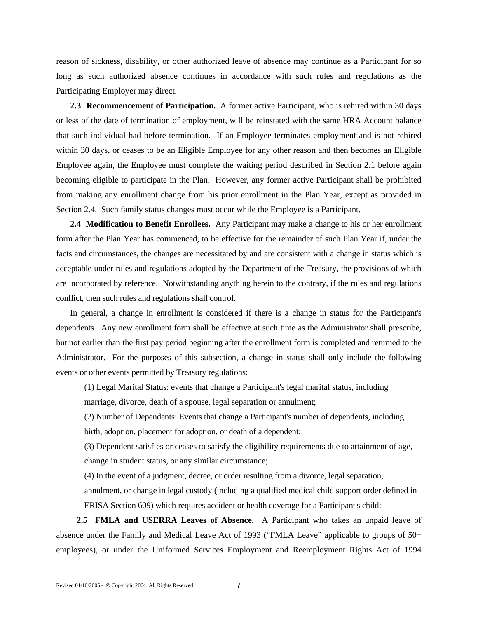reason of sickness, disability, or other authorized leave of absence may continue as a Participant for so long as such authorized absence continues in accordance with such rules and regulations as the Participating Employer may direct.

**2.3 Recommencement of Participation.** A former active Participant, who is rehired within 30 days or less of the date of termination of employment, will be reinstated with the same HRA Account balance that such individual had before termination. If an Employee terminates employment and is not rehired within 30 days, or ceases to be an Eligible Employee for any other reason and then becomes an Eligible Employee again, the Employee must complete the waiting period described in Section 2.1 before again becoming eligible to participate in the Plan. However, any former active Participant shall be prohibited from making any enrollment change from his prior enrollment in the Plan Year, except as provided in Section 2.4. Such family status changes must occur while the Employee is a Participant.

**2.4 Modification to Benefit Enrollees.** Any Participant may make a change to his or her enrollment form after the Plan Year has commenced, to be effective for the remainder of such Plan Year if, under the facts and circumstances, the changes are necessitated by and are consistent with a change in status which is acceptable under rules and regulations adopted by the Department of the Treasury, the provisions of which are incorporated by reference. Notwithstanding anything herein to the contrary, if the rules and regulations conflict, then such rules and regulations shall control.

In general, a change in enrollment is considered if there is a change in status for the Participant's dependents. Any new enrollment form shall be effective at such time as the Administrator shall prescribe, but not earlier than the first pay period beginning after the enrollment form is completed and returned to the Administrator. For the purposes of this subsection, a change in status shall only include the following events or other events permitted by Treasury regulations:

(1) Legal Marital Status: events that change a Participant's legal marital status, including marriage, divorce, death of a spouse, legal separation or annulment;

(2) Number of Dependents: Events that change a Participant's number of dependents, including birth, adoption, placement for adoption, or death of a dependent;

(3) Dependent satisfies or ceases to satisfy the eligibility requirements due to attainment of age, change in student status, or any similar circumstance;

(4) In the event of a judgment, decree, or order resulting from a divorce, legal separation,

annulment, or change in legal custody (including a qualified medical child support order defined in ERISA Section 609) which requires accident or health coverage for a Participant's child:

 **2.5 FMLA and USERRA Leaves of Absence.** A Participant who takes an unpaid leave of absence under the Family and Medical Leave Act of 1993 ("FMLA Leave" applicable to groups of 50+ employees), or under the Uniformed Services Employment and Reemployment Rights Act of 1994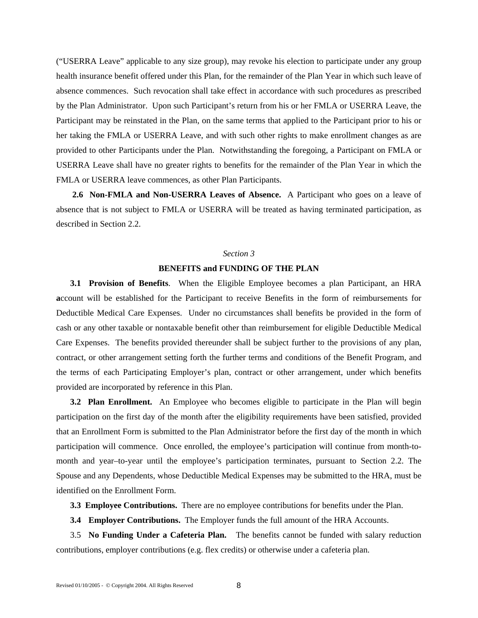("USERRA Leave" applicable to any size group), may revoke his election to participate under any group health insurance benefit offered under this Plan, for the remainder of the Plan Year in which such leave of absence commences. Such revocation shall take effect in accordance with such procedures as prescribed by the Plan Administrator. Upon such Participant's return from his or her FMLA or USERRA Leave, the Participant may be reinstated in the Plan, on the same terms that applied to the Participant prior to his or her taking the FMLA or USERRA Leave, and with such other rights to make enrollment changes as are provided to other Participants under the Plan. Notwithstanding the foregoing, a Participant on FMLA or USERRA Leave shall have no greater rights to benefits for the remainder of the Plan Year in which the FMLA or USERRA leave commences, as other Plan Participants.

**2.6 Non-FMLA and Non-USERRA Leaves of Absence.** A Participant who goes on a leave of absence that is not subject to FMLA or USERRA will be treated as having terminated participation, as described in Section 2.2.

# *Section 3*

# **BENEFITS and FUNDING OF THE PLAN**

**3.1 Provision of Benefits**. When the Eligible Employee becomes a plan Participant, an HRA **a**ccount will be established for the Participant to receive Benefits in the form of reimbursements for Deductible Medical Care Expenses. Under no circumstances shall benefits be provided in the form of cash or any other taxable or nontaxable benefit other than reimbursement for eligible Deductible Medical Care Expenses. The benefits provided thereunder shall be subject further to the provisions of any plan, contract, or other arrangement setting forth the further terms and conditions of the Benefit Program, and the terms of each Participating Employer's plan, contract or other arrangement, under which benefits provided are incorporated by reference in this Plan.

**3.2 Plan Enrollment.** An Employee who becomes eligible to participate in the Plan will begin participation on the first day of the month after the eligibility requirements have been satisfied, provided that an Enrollment Form is submitted to the Plan Administrator before the first day of the month in which participation will commence. Once enrolled, the employee's participation will continue from month-tomonth and year–to-year until the employee's participation terminates, pursuant to Section 2.2. The Spouse and any Dependents, whose Deductible Medical Expenses may be submitted to the HRA, must be identified on the Enrollment Form.

**3.3 Employee Contributions.** There are no employee contributions for benefits under the Plan.

**3.4 Employer Contributions.** The Employer funds the full amount of the HRA Accounts.

3.5 **No Funding Under a Cafeteria Plan.** The benefits cannot be funded with salary reduction contributions, employer contributions (e.g. flex credits) or otherwise under a cafeteria plan.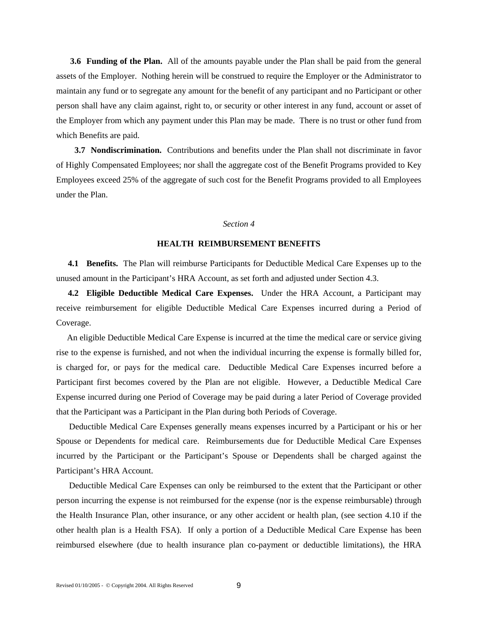**3.6 Funding of the Plan.** All of the amounts payable under the Plan shall be paid from the general assets of the Employer. Nothing herein will be construed to require the Employer or the Administrator to maintain any fund or to segregate any amount for the benefit of any participant and no Participant or other person shall have any claim against, right to, or security or other interest in any fund, account or asset of the Employer from which any payment under this Plan may be made. There is no trust or other fund from which Benefits are paid.

 **3.7 Nondiscrimination.** Contributions and benefits under the Plan shall not discriminate in favor of Highly Compensated Employees; nor shall the aggregate cost of the Benefit Programs provided to Key Employees exceed 25% of the aggregate of such cost for the Benefit Programs provided to all Employees under the Plan.

#### *Section 4*

# **HEALTH REIMBURSEMENT BENEFITS**

**4.1 Benefits.** The Plan will reimburse Participants for Deductible Medical Care Expenses up to the unused amount in the Participant's HRA Account, as set forth and adjusted under Section 4.3.

**4.2 Eligible Deductible Medical Care Expenses.** Under the HRA Account, a Participant may receive reimbursement for eligible Deductible Medical Care Expenses incurred during a Period of Coverage.

 An eligible Deductible Medical Care Expense is incurred at the time the medical care or service giving rise to the expense is furnished, and not when the individual incurring the expense is formally billed for, is charged for, or pays for the medical care. Deductible Medical Care Expenses incurred before a Participant first becomes covered by the Plan are not eligible. However, a Deductible Medical Care Expense incurred during one Period of Coverage may be paid during a later Period of Coverage provided that the Participant was a Participant in the Plan during both Periods of Coverage.

 Deductible Medical Care Expenses generally means expenses incurred by a Participant or his or her Spouse or Dependents for medical care. Reimbursements due for Deductible Medical Care Expenses incurred by the Participant or the Participant's Spouse or Dependents shall be charged against the Participant's HRA Account.

 Deductible Medical Care Expenses can only be reimbursed to the extent that the Participant or other person incurring the expense is not reimbursed for the expense (nor is the expense reimbursable) through the Health Insurance Plan, other insurance, or any other accident or health plan, (see section 4.10 if the other health plan is a Health FSA). If only a portion of a Deductible Medical Care Expense has been reimbursed elsewhere (due to health insurance plan co-payment or deductible limitations), the HRA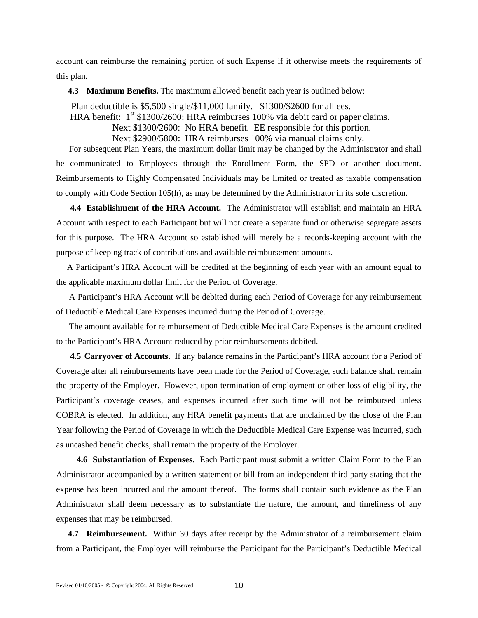account can reimburse the remaining portion of such Expense if it otherwise meets the requirements of this plan.

**4.3 Maximum Benefits.** The maximum allowed benefit each year is outlined below:

 Plan deductible is \$5,500 single/\$11,000 family. \$1300/\$2600 for all ees. HRA benefit:  $1<sup>st</sup>$  \$1300/2600: HRA reimburses 100% via debit card or paper claims. Next \$1300/2600: No HRA benefit. EE responsible for this portion. Next \$2900/5800: HRA reimburses 100% via manual claims only.

 For subsequent Plan Years, the maximum dollar limit may be changed by the Administrator and shall be communicated to Employees through the Enrollment Form, the SPD or another document. Reimbursements to Highly Compensated Individuals may be limited or treated as taxable compensation to comply with Code Section 105(h), as may be determined by the Administrator in its sole discretion.

**4.4 Establishment of the HRA Account.** The Administrator will establish and maintain an HRA Account with respect to each Participant but will not create a separate fund or otherwise segregate assets for this purpose. The HRA Account so established will merely be a records-keeping account with the purpose of keeping track of contributions and available reimbursement amounts.

 A Participant's HRA Account will be credited at the beginning of each year with an amount equal to the applicable maximum dollar limit for the Period of Coverage.

 A Participant's HRA Account will be debited during each Period of Coverage for any reimbursement of Deductible Medical Care Expenses incurred during the Period of Coverage.

 The amount available for reimbursement of Deductible Medical Care Expenses is the amount credited to the Participant's HRA Account reduced by prior reimbursements debited.

**4.5 Carryover of Accounts.** If any balance remains in the Participant's HRA account for a Period of Coverage after all reimbursements have been made for the Period of Coverage, such balance shall remain the property of the Employer. However, upon termination of employment or other loss of eligibility, the Participant's coverage ceases, and expenses incurred after such time will not be reimbursed unless COBRA is elected. In addition, any HRA benefit payments that are unclaimed by the close of the Plan Year following the Period of Coverage in which the Deductible Medical Care Expense was incurred, such as uncashed benefit checks, shall remain the property of the Employer.

 **4.6 Substantiation of Expenses**. Each Participant must submit a written Claim Form to the Plan Administrator accompanied by a written statement or bill from an independent third party stating that the expense has been incurred and the amount thereof. The forms shall contain such evidence as the Plan Administrator shall deem necessary as to substantiate the nature, the amount, and timeliness of any expenses that may be reimbursed.

**4.7 Reimbursement.** Within 30 days after receipt by the Administrator of a reimbursement claim from a Participant, the Employer will reimburse the Participant for the Participant's Deductible Medical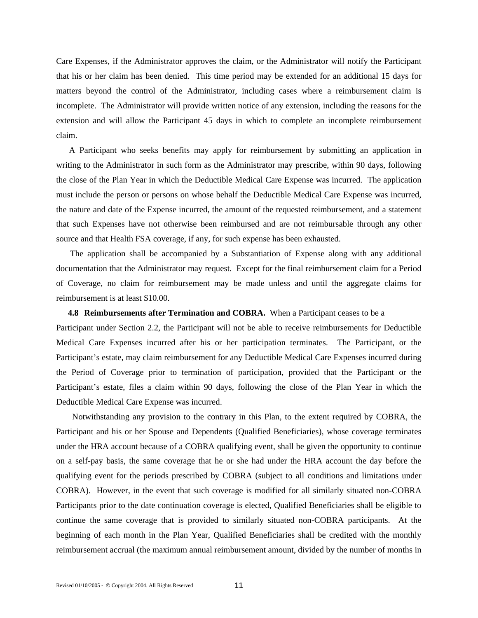Care Expenses, if the Administrator approves the claim, or the Administrator will notify the Participant that his or her claim has been denied. This time period may be extended for an additional 15 days for matters beyond the control of the Administrator, including cases where a reimbursement claim is incomplete. The Administrator will provide written notice of any extension, including the reasons for the extension and will allow the Participant 45 days in which to complete an incomplete reimbursement claim.

A Participant who seeks benefits may apply for reimbursement by submitting an application in writing to the Administrator in such form as the Administrator may prescribe, within 90 days, following the close of the Plan Year in which the Deductible Medical Care Expense was incurred. The application must include the person or persons on whose behalf the Deductible Medical Care Expense was incurred, the nature and date of the Expense incurred, the amount of the requested reimbursement, and a statement that such Expenses have not otherwise been reimbursed and are not reimbursable through any other source and that Health FSA coverage, if any, for such expense has been exhausted.

 The application shall be accompanied by a Substantiation of Expense along with any additional documentation that the Administrator may request. Except for the final reimbursement claim for a Period of Coverage, no claim for reimbursement may be made unless and until the aggregate claims for reimbursement is at least \$10.00.

### **4.8 Reimbursements after Termination and COBRA.** When a Participant ceases to be a

Participant under Section 2.2, the Participant will not be able to receive reimbursements for Deductible Medical Care Expenses incurred after his or her participation terminates. The Participant, or the Participant's estate, may claim reimbursement for any Deductible Medical Care Expenses incurred during the Period of Coverage prior to termination of participation, provided that the Participant or the Participant's estate, files a claim within 90 days, following the close of the Plan Year in which the Deductible Medical Care Expense was incurred.

 Notwithstanding any provision to the contrary in this Plan, to the extent required by COBRA, the Participant and his or her Spouse and Dependents (Qualified Beneficiaries), whose coverage terminates under the HRA account because of a COBRA qualifying event, shall be given the opportunity to continue on a self-pay basis, the same coverage that he or she had under the HRA account the day before the qualifying event for the periods prescribed by COBRA (subject to all conditions and limitations under COBRA). However, in the event that such coverage is modified for all similarly situated non-COBRA Participants prior to the date continuation coverage is elected, Qualified Beneficiaries shall be eligible to continue the same coverage that is provided to similarly situated non-COBRA participants. At the beginning of each month in the Plan Year, Qualified Beneficiaries shall be credited with the monthly reimbursement accrual (the maximum annual reimbursement amount, divided by the number of months in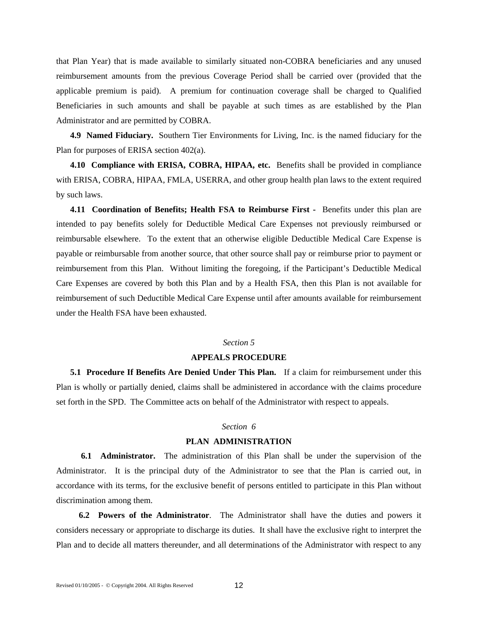that Plan Year) that is made available to similarly situated non-COBRA beneficiaries and any unused reimbursement amounts from the previous Coverage Period shall be carried over (provided that the applicable premium is paid). A premium for continuation coverage shall be charged to Qualified Beneficiaries in such amounts and shall be payable at such times as are established by the Plan Administrator and are permitted by COBRA.

**4.9 Named Fiduciary.** Southern Tier Environments for Living, Inc. is the named fiduciary for the Plan for purposes of ERISA section 402(a).

**4.10 Compliance with ERISA, COBRA, HIPAA, etc.** Benefits shall be provided in compliance with ERISA, COBRA, HIPAA, FMLA, USERRA, and other group health plan laws to the extent required by such laws.

**4.11 Coordination of Benefits; Health FSA to Reimburse First -** Benefits under this plan are intended to pay benefits solely for Deductible Medical Care Expenses not previously reimbursed or reimbursable elsewhere. To the extent that an otherwise eligible Deductible Medical Care Expense is payable or reimbursable from another source, that other source shall pay or reimburse prior to payment or reimbursement from this Plan. Without limiting the foregoing, if the Participant's Deductible Medical Care Expenses are covered by both this Plan and by a Health FSA, then this Plan is not available for reimbursement of such Deductible Medical Care Expense until after amounts available for reimbursement under the Health FSA have been exhausted.

#### *Section 5*

#### **APPEALS PROCEDURE**

**5.1 Procedure If Benefits Are Denied Under This Plan.** If a claim for reimbursement under this Plan is wholly or partially denied, claims shall be administered in accordance with the claims procedure set forth in the SPD. The Committee acts on behalf of the Administrator with respect to appeals.

#### *Section 6*

#### **PLAN ADMINISTRATION**

 **6.1 Administrator.** The administration of this Plan shall be under the supervision of the Administrator. It is the principal duty of the Administrator to see that the Plan is carried out, in accordance with its terms, for the exclusive benefit of persons entitled to participate in this Plan without discrimination among them.

 **6.2 Powers of the Administrator**. The Administrator shall have the duties and powers it considers necessary or appropriate to discharge its duties. It shall have the exclusive right to interpret the Plan and to decide all matters thereunder, and all determinations of the Administrator with respect to any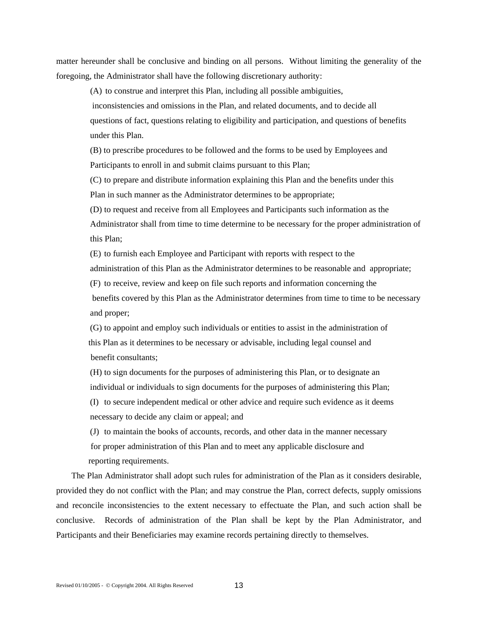matter hereunder shall be conclusive and binding on all persons. Without limiting the generality of the foregoing, the Administrator shall have the following discretionary authority:

(A) to construe and interpret this Plan, including all possible ambiguities,

 inconsistencies and omissions in the Plan, and related documents, and to decide all questions of fact, questions relating to eligibility and participation, and questions of benefits under this Plan.

(B) to prescribe procedures to be followed and the forms to be used by Employees and Participants to enroll in and submit claims pursuant to this Plan;

(C) to prepare and distribute information explaining this Plan and the benefits under this Plan in such manner as the Administrator determines to be appropriate;

(D) to request and receive from all Employees and Participants such information as the Administrator shall from time to time determine to be necessary for the proper administration of this Plan;

(E) to furnish each Employee and Participant with reports with respect to the administration of this Plan as the Administrator determines to be reasonable and appropriate; (F) to receive, review and keep on file such reports and information concerning the benefits covered by this Plan as the Administrator determines from time to time to be necessary and proper;

(G) to appoint and employ such individuals or entities to assist in the administration of this Plan as it determines to be necessary or advisable, including legal counsel and benefit consultants;

(H) to sign documents for the purposes of administering this Plan, or to designate an individual or individuals to sign documents for the purposes of administering this Plan; (I) to secure independent medical or other advice and require such evidence as it deems

necessary to decide any claim or appeal; and

(J) to maintain the books of accounts, records, and other data in the manner necessary for proper administration of this Plan and to meet any applicable disclosure and reporting requirements.

The Plan Administrator shall adopt such rules for administration of the Plan as it considers desirable, provided they do not conflict with the Plan; and may construe the Plan, correct defects, supply omissions and reconcile inconsistencies to the extent necessary to effectuate the Plan, and such action shall be conclusive. Records of administration of the Plan shall be kept by the Plan Administrator, and Participants and their Beneficiaries may examine records pertaining directly to themselves.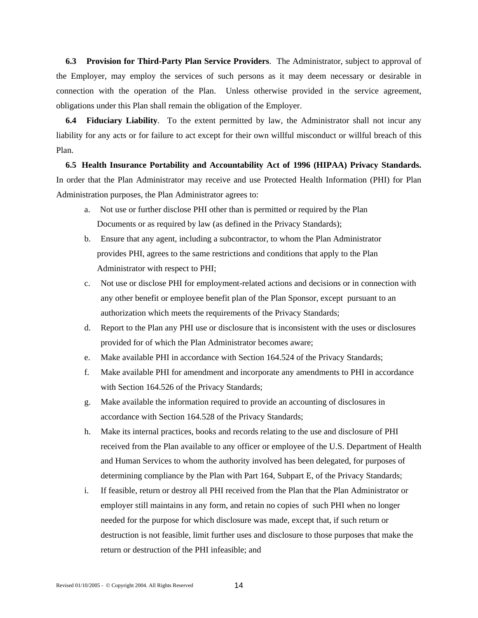**6.3 Provision for Third-Party Plan Service Providers**. The Administrator, subject to approval of the Employer, may employ the services of such persons as it may deem necessary or desirable in connection with the operation of the Plan. Unless otherwise provided in the service agreement, obligations under this Plan shall remain the obligation of the Employer.

**6.4 Fiduciary Liability**. To the extent permitted by law, the Administrator shall not incur any liability for any acts or for failure to act except for their own willful misconduct or willful breach of this Plan.

**6.5 Health Insurance Portability and Accountability Act of 1996 (HIPAA) Privacy Standards.**  In order that the Plan Administrator may receive and use Protected Health Information (PHI) for Plan Administration purposes, the Plan Administrator agrees to:

- a. Not use or further disclose PHI other than is permitted or required by the Plan Documents or as required by law (as defined in the Privacy Standards);
- b. Ensure that any agent, including a subcontractor, to whom the Plan Administrator provides PHI, agrees to the same restrictions and conditions that apply to the Plan Administrator with respect to PHI;
- c. Not use or disclose PHI for employment-related actions and decisions or in connection with any other benefit or employee benefit plan of the Plan Sponsor, except pursuant to an authorization which meets the requirements of the Privacy Standards;
- d. Report to the Plan any PHI use or disclosure that is inconsistent with the uses or disclosures provided for of which the Plan Administrator becomes aware;
- e. Make available PHI in accordance with Section 164.524 of the Privacy Standards;
- f. Make available PHI for amendment and incorporate any amendments to PHI in accordance with Section 164.526 of the Privacy Standards;
- g. Make available the information required to provide an accounting of disclosures in accordance with Section 164.528 of the Privacy Standards;
- h. Make its internal practices, books and records relating to the use and disclosure of PHI received from the Plan available to any officer or employee of the U.S. Department of Health and Human Services to whom the authority involved has been delegated, for purposes of determining compliance by the Plan with Part 164, Subpart E, of the Privacy Standards;
- i. If feasible, return or destroy all PHI received from the Plan that the Plan Administrator or employer still maintains in any form, and retain no copies of such PHI when no longer needed for the purpose for which disclosure was made, except that, if such return or destruction is not feasible, limit further uses and disclosure to those purposes that make the return or destruction of the PHI infeasible; and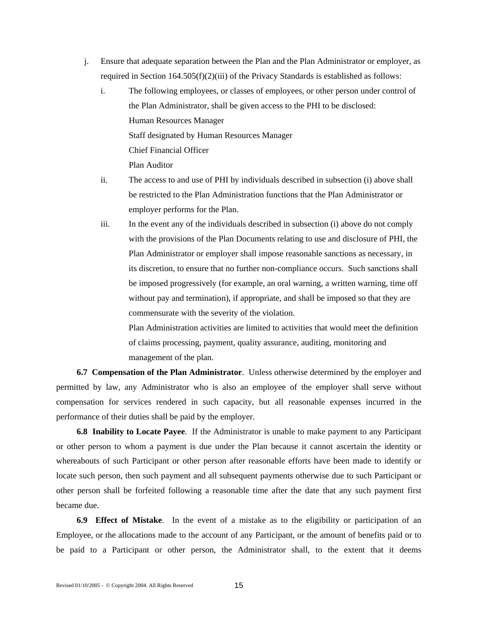- j. Ensure that adequate separation between the Plan and the Plan Administrator or employer, as required in Section  $164.505(f)(2)(iii)$  of the Privacy Standards is established as follows:
	- i. The following employees, or classes of employees, or other person under control of the Plan Administrator, shall be given access to the PHI to be disclosed: Human Resources Manager Staff designated by Human Resources Manager Chief Financial Officer Plan Auditor
	- ii. The access to and use of PHI by individuals described in subsection (i) above shall be restricted to the Plan Administration functions that the Plan Administrator or employer performs for the Plan.
	- iii. In the event any of the individuals described in subsection (i) above do not comply with the provisions of the Plan Documents relating to use and disclosure of PHI, the Plan Administrator or employer shall impose reasonable sanctions as necessary, in its discretion, to ensure that no further non-compliance occurs. Such sanctions shall be imposed progressively (for example, an oral warning, a written warning, time off without pay and termination), if appropriate, and shall be imposed so that they are commensurate with the severity of the violation.

Plan Administration activities are limited to activities that would meet the definition of claims processing, payment, quality assurance, auditing, monitoring and management of the plan.

 **6.7 Compensation of the Plan Administrator**. Unless otherwise determined by the employer and permitted by law, any Administrator who is also an employee of the employer shall serve without compensation for services rendered in such capacity, but all reasonable expenses incurred in the performance of their duties shall be paid by the employer.

 **6.8 Inability to Locate Payee**. If the Administrator is unable to make payment to any Participant or other person to whom a payment is due under the Plan because it cannot ascertain the identity or whereabouts of such Participant or other person after reasonable efforts have been made to identify or locate such person, then such payment and all subsequent payments otherwise due to such Participant or other person shall be forfeited following a reasonable time after the date that any such payment first became due.

 **6.9 Effect of Mistake**. In the event of a mistake as to the eligibility or participation of an Employee, or the allocations made to the account of any Participant, or the amount of benefits paid or to be paid to a Participant or other person, the Administrator shall, to the extent that it deems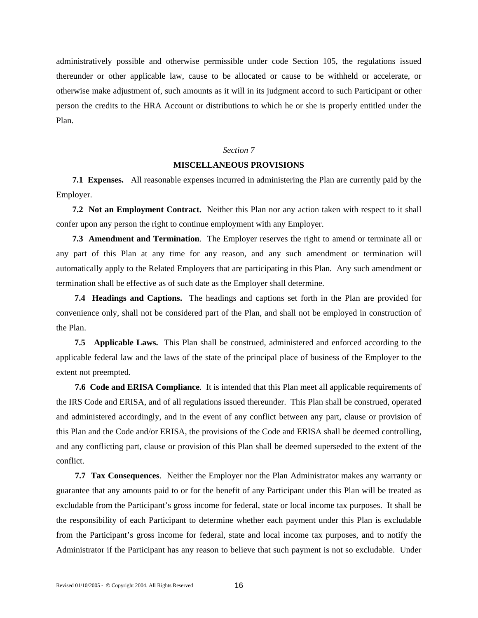administratively possible and otherwise permissible under code Section 105, the regulations issued thereunder or other applicable law, cause to be allocated or cause to be withheld or accelerate, or otherwise make adjustment of, such amounts as it will in its judgment accord to such Participant or other person the credits to the HRA Account or distributions to which he or she is properly entitled under the Plan.

## *Section 7*

#### **MISCELLANEOUS PROVISIONS**

 **7.1 Expenses.** All reasonable expenses incurred in administering the Plan are currently paid by the Employer.

**7.2 Not an Employment Contract.** Neither this Plan nor any action taken with respect to it shall confer upon any person the right to continue employment with any Employer.

 **7.3 Amendment and Termination**. The Employer reserves the right to amend or terminate all or any part of this Plan at any time for any reason, and any such amendment or termination will automatically apply to the Related Employers that are participating in this Plan. Any such amendment or termination shall be effective as of such date as the Employer shall determine.

 **7.4 Headings and Captions.** The headings and captions set forth in the Plan are provided for convenience only, shall not be considered part of the Plan, and shall not be employed in construction of the Plan.

 **7.5 Applicable Laws.** This Plan shall be construed, administered and enforced according to the applicable federal law and the laws of the state of the principal place of business of the Employer to the extent not preempted.

**7.6 Code and ERISA Compliance**. It is intended that this Plan meet all applicable requirements of the IRS Code and ERISA, and of all regulations issued thereunder. This Plan shall be construed, operated and administered accordingly, and in the event of any conflict between any part, clause or provision of this Plan and the Code and/or ERISA, the provisions of the Code and ERISA shall be deemed controlling, and any conflicting part, clause or provision of this Plan shall be deemed superseded to the extent of the conflict.

**7.7 Tax Consequences**. Neither the Employer nor the Plan Administrator makes any warranty or guarantee that any amounts paid to or for the benefit of any Participant under this Plan will be treated as excludable from the Participant's gross income for federal, state or local income tax purposes. It shall be the responsibility of each Participant to determine whether each payment under this Plan is excludable from the Participant's gross income for federal, state and local income tax purposes, and to notify the Administrator if the Participant has any reason to believe that such payment is not so excludable. Under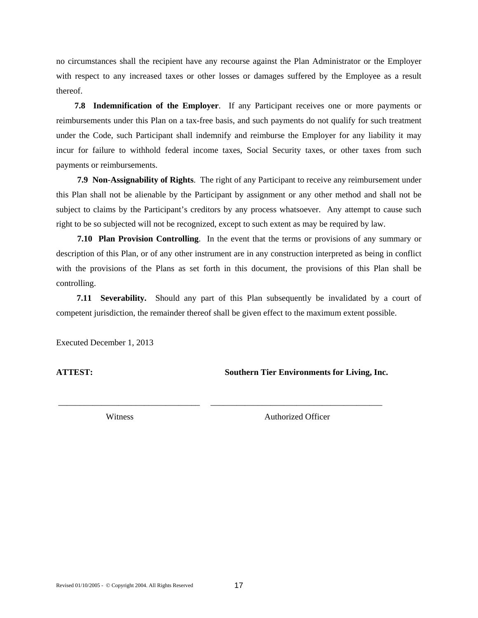no circumstances shall the recipient have any recourse against the Plan Administrator or the Employer with respect to any increased taxes or other losses or damages suffered by the Employee as a result thereof.

 **7.8 Indemnification of the Employer**. If any Participant receives one or more payments or reimbursements under this Plan on a tax-free basis, and such payments do not qualify for such treatment under the Code, such Participant shall indemnify and reimburse the Employer for any liability it may incur for failure to withhold federal income taxes, Social Security taxes, or other taxes from such payments or reimbursements.

**7.9 Non**-**Assignability of Rights**. The right of any Participant to receive any reimbursement under this Plan shall not be alienable by the Participant by assignment or any other method and shall not be subject to claims by the Participant's creditors by any process whatsoever. Any attempt to cause such right to be so subjected will not be recognized, except to such extent as may be required by law.

**7.10 Plan Provision Controlling**. In the event that the terms or provisions of any summary or description of this Plan, or of any other instrument are in any construction interpreted as being in conflict with the provisions of the Plans as set forth in this document, the provisions of this Plan shall be controlling.

 **7.11 Severability.** Should any part of this Plan subsequently be invalidated by a court of competent jurisdiction, the remainder thereof shall be given effect to the maximum extent possible.

\_\_\_\_\_\_\_\_\_\_\_\_\_\_\_\_\_\_\_\_\_\_\_\_\_\_\_\_\_\_\_\_\_ \_\_\_\_\_\_\_\_\_\_\_\_\_\_\_\_\_\_\_\_\_\_\_\_\_\_\_\_\_\_\_\_\_\_\_\_\_\_\_\_

Executed December 1, 2013

**ATTEST: Southern Tier Environments for Living, Inc.** 

Witness **Authorized Officer**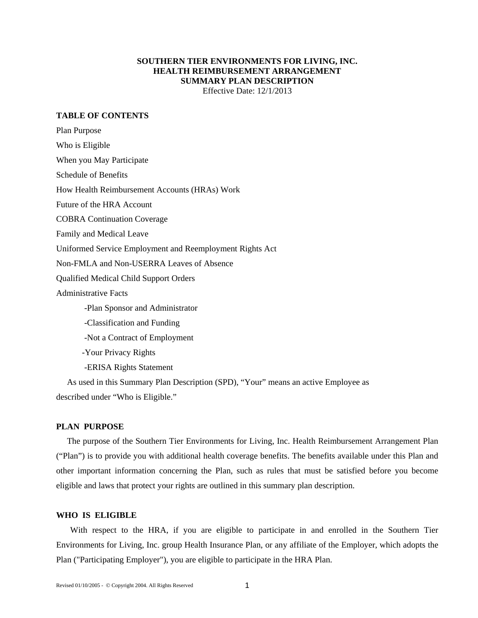## **SOUTHERN TIER ENVIRONMENTS FOR LIVING, INC. HEALTH REIMBURSEMENT ARRANGEMENT SUMMARY PLAN DESCRIPTION**  Effective Date: 12/1/2013

**TABLE OF CONTENTS** 

Plan Purpose Who is Eligible When you May Participate Schedule of Benefits How Health Reimbursement Accounts (HRAs) Work Future of the HRA Account COBRA Continuation Coverage Family and Medical Leave Uniformed Service Employment and Reemployment Rights Act Non-FMLA and Non-USERRA Leaves of Absence Qualified Medical Child Support Orders Administrative Facts -Plan Sponsor and Administrator -Classification and Funding -Not a Contract of Employment -Your Privacy Rights -ERISA Rights Statement

 As used in this Summary Plan Description (SPD), "Your" means an active Employee as described under "Who is Eligible."

#### **PLAN PURPOSE**

 The purpose of the Southern Tier Environments for Living, Inc. Health Reimbursement Arrangement Plan ("Plan") is to provide you with additional health coverage benefits. The benefits available under this Plan and other important information concerning the Plan, such as rules that must be satisfied before you become eligible and laws that protect your rights are outlined in this summary plan description.

# **WHO IS ELIGIBLE**

With respect to the HRA, if you are eligible to participate in and enrolled in the Southern Tier Environments for Living, Inc. group Health Insurance Plan, or any affiliate of the Employer, which adopts the Plan ("Participating Employer"), you are eligible to participate in the HRA Plan.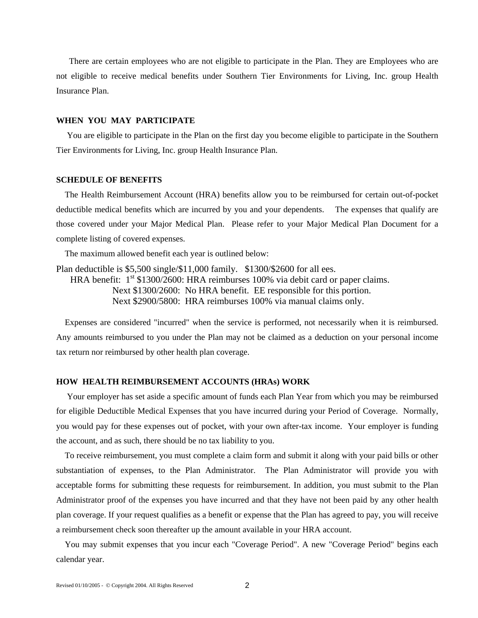There are certain employees who are not eligible to participate in the Plan. They are Employees who are not eligible to receive medical benefits under Southern Tier Environments for Living, Inc. group Health Insurance Plan.

## **WHEN YOU MAY PARTICIPATE**

 You are eligible to participate in the Plan on the first day you become eligible to participate in the Southern Tier Environments for Living, Inc. group Health Insurance Plan.

## **SCHEDULE OF BENEFITS**

The Health Reimbursement Account (HRA) benefits allow you to be reimbursed for certain out-of-pocket deductible medical benefits which are incurred by you and your dependents. The expenses that qualify are those covered under your Major Medical Plan. Please refer to your Major Medical Plan Document for a complete listing of covered expenses.

The maximum allowed benefit each year is outlined below:

Plan deductible is \$5,500 single/\$11,000 family. \$1300/\$2600 for all ees. HRA benefit:  $1<sup>st</sup>$  \$1300/2600: HRA reimburses 100% via debit card or paper claims. Next \$1300/2600: No HRA benefit. EE responsible for this portion. Next \$2900/5800: HRA reimburses 100% via manual claims only.

 Expenses are considered "incurred" when the service is performed, not necessarily when it is reimbursed. Any amounts reimbursed to you under the Plan may not be claimed as a deduction on your personal income tax return nor reimbursed by other health plan coverage.

## **HOW HEALTH REIMBURSEMENT ACCOUNTS (HRAs) WORK**

 Your employer has set aside a specific amount of funds each Plan Year from which you may be reimbursed for eligible Deductible Medical Expenses that you have incurred during your Period of Coverage. Normally, you would pay for these expenses out of pocket, with your own after-tax income. Your employer is funding the account, and as such, there should be no tax liability to you.

 To receive reimbursement, you must complete a claim form and submit it along with your paid bills or other substantiation of expenses, to the Plan Administrator. The Plan Administrator will provide you with acceptable forms for submitting these requests for reimbursement. In addition, you must submit to the Plan Administrator proof of the expenses you have incurred and that they have not been paid by any other health plan coverage. If your request qualifies as a benefit or expense that the Plan has agreed to pay, you will receive a reimbursement check soon thereafter up the amount available in your HRA account.

 You may submit expenses that you incur each "Coverage Period". A new "Coverage Period" begins each calendar year.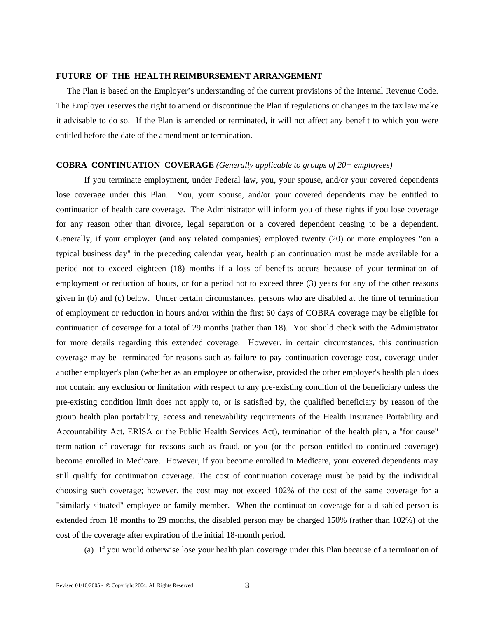#### **FUTURE OF THE HEALTH REIMBURSEMENT ARRANGEMENT**

 The Plan is based on the Employer's understanding of the current provisions of the Internal Revenue Code. The Employer reserves the right to amend or discontinue the Plan if regulations or changes in the tax law make it advisable to do so. If the Plan is amended or terminated, it will not affect any benefit to which you were entitled before the date of the amendment or termination.

#### **COBRA CONTINUATION COVERAGE** *(Generally applicable to groups of 20+ employees)*

If you terminate employment, under Federal law, you, your spouse, and/or your covered dependents lose coverage under this Plan. You, your spouse, and/or your covered dependents may be entitled to continuation of health care coverage. The Administrator will inform you of these rights if you lose coverage for any reason other than divorce, legal separation or a covered dependent ceasing to be a dependent. Generally, if your employer (and any related companies) employed twenty (20) or more employees "on a typical business day" in the preceding calendar year, health plan continuation must be made available for a period not to exceed eighteen (18) months if a loss of benefits occurs because of your termination of employment or reduction of hours, or for a period not to exceed three (3) years for any of the other reasons given in (b) and (c) below. Under certain circumstances, persons who are disabled at the time of termination of employment or reduction in hours and/or within the first 60 days of COBRA coverage may be eligible for continuation of coverage for a total of 29 months (rather than 18). You should check with the Administrator for more details regarding this extended coverage. However, in certain circumstances, this continuation coverage may be terminated for reasons such as failure to pay continuation coverage cost, coverage under another employer's plan (whether as an employee or otherwise, provided the other employer's health plan does not contain any exclusion or limitation with respect to any pre-existing condition of the beneficiary unless the pre-existing condition limit does not apply to, or is satisfied by, the qualified beneficiary by reason of the group health plan portability, access and renewability requirements of the Health Insurance Portability and Accountability Act, ERISA or the Public Health Services Act), termination of the health plan, a "for cause" termination of coverage for reasons such as fraud, or you (or the person entitled to continued coverage) become enrolled in Medicare. However, if you become enrolled in Medicare, your covered dependents may still qualify for continuation coverage. The cost of continuation coverage must be paid by the individual choosing such coverage; however, the cost may not exceed 102% of the cost of the same coverage for a "similarly situated" employee or family member. When the continuation coverage for a disabled person is extended from 18 months to 29 months, the disabled person may be charged 150% (rather than 102%) of the cost of the coverage after expiration of the initial 18-month period.

(a) If you would otherwise lose your health plan coverage under this Plan because of a termination of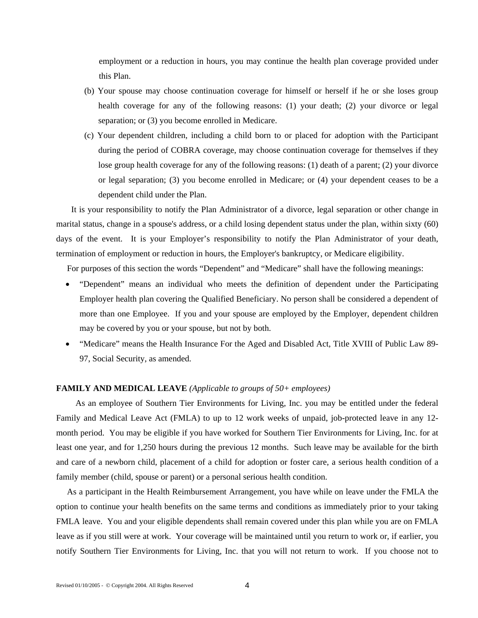employment or a reduction in hours, you may continue the health plan coverage provided under this Plan.

- (b) Your spouse may choose continuation coverage for himself or herself if he or she loses group health coverage for any of the following reasons: (1) your death; (2) your divorce or legal separation; or (3) you become enrolled in Medicare.
- (c) Your dependent children, including a child born to or placed for adoption with the Participant during the period of COBRA coverage, may choose continuation coverage for themselves if they lose group health coverage for any of the following reasons: (1) death of a parent; (2) your divorce or legal separation; (3) you become enrolled in Medicare; or (4) your dependent ceases to be a dependent child under the Plan.

 It is your responsibility to notify the Plan Administrator of a divorce, legal separation or other change in marital status, change in a spouse's address, or a child losing dependent status under the plan, within sixty (60) days of the event. It is your Employer's responsibility to notify the Plan Administrator of your death, termination of employment or reduction in hours, the Employer's bankruptcy, or Medicare eligibility.

For purposes of this section the words "Dependent" and "Medicare" shall have the following meanings:

- "Dependent" means an individual who meets the definition of dependent under the Participating Employer health plan covering the Qualified Beneficiary. No person shall be considered a dependent of more than one Employee. If you and your spouse are employed by the Employer, dependent children may be covered by you or your spouse, but not by both.
- "Medicare" means the Health Insurance For the Aged and Disabled Act, Title XVIII of Public Law 89- 97, Social Security, as amended.

## **FAMILY AND MEDICAL LEAVE** *(Applicable to groups of 50+ employees)*

As an employee of Southern Tier Environments for Living, Inc. you may be entitled under the federal Family and Medical Leave Act (FMLA) to up to 12 work weeks of unpaid, job-protected leave in any 12 month period. You may be eligible if you have worked for Southern Tier Environments for Living, Inc. for at least one year, and for 1,250 hours during the previous 12 months. Such leave may be available for the birth and care of a newborn child, placement of a child for adoption or foster care, a serious health condition of a family member (child, spouse or parent) or a personal serious health condition.

 As a participant in the Health Reimbursement Arrangement, you have while on leave under the FMLA the option to continue your health benefits on the same terms and conditions as immediately prior to your taking FMLA leave. You and your eligible dependents shall remain covered under this plan while you are on FMLA leave as if you still were at work. Your coverage will be maintained until you return to work or, if earlier, you notify Southern Tier Environments for Living, Inc. that you will not return to work. If you choose not to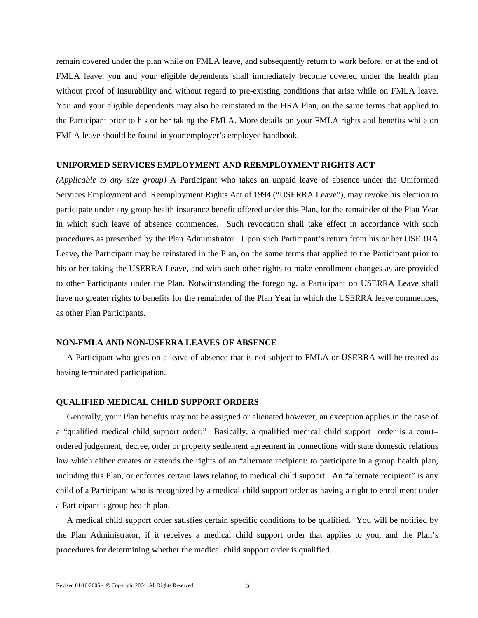remain covered under the plan while on FMLA leave, and subsequently return to work before, or at the end of FMLA leave, you and your eligible dependents shall immediately become covered under the health plan without proof of insurability and without regard to pre-existing conditions that arise while on FMLA leave. You and your eligible dependents may also be reinstated in the HRA Plan, on the same terms that applied to the Participant prior to his or her taking the FMLA. More details on your FMLA rights and benefits while on FMLA leave should be found in your employer's employee handbook.

#### **UNIFORMED SERVICES EMPLOYMENT AND REEMPLOYMENT RIGHTS ACT**

*(Applicable to any size group)* A Participant who takes an unpaid leave of absence under the Uniformed Services Employment and Reemployment Rights Act of 1994 ("USERRA Leave"), may revoke his election to participate under any group health insurance benefit offered under this Plan, for the remainder of the Plan Year in which such leave of absence commences. Such revocation shall take effect in accordance with such procedures as prescribed by the Plan Administrator. Upon such Participant's return from his or her USERRA Leave, the Participant may be reinstated in the Plan, on the same terms that applied to the Participant prior to his or her taking the USERRA Leave, and with such other rights to make enrollment changes as are provided to other Participants under the Plan. Notwithstanding the foregoing, a Participant on USERRA Leave shall have no greater rights to benefits for the remainder of the Plan Year in which the USERRA leave commences, as other Plan Participants.

#### **NON-FMLA AND NON-USERRA LEAVES OF ABSENCE**

A Participant who goes on a leave of absence that is not subject to FMLA or USERRA will be treated as having terminated participation.

#### **QUALIFIED MEDICAL CHILD SUPPORT ORDERS**

Generally, your Plan benefits may not be assigned or alienated however, an exception applies in the case of a "qualified medical child support order." Basically, a qualified medical child support order is a court– ordered judgement, decree, order or property settlement agreement in connections with state domestic relations law which either creates or extends the rights of an "alternate recipient: to participate in a group health plan, including this Plan, or enforces certain laws relating to medical child support. An "alternate recipient" is any child of a Participant who is recognized by a medical child support order as having a right to enrollment under a Participant's group health plan.

 A medical child support order satisfies certain specific conditions to be qualified. You will be notified by the Plan Administrator, if it receives a medical child support order that applies to you, and the Plan's procedures for determining whether the medical child support order is qualified.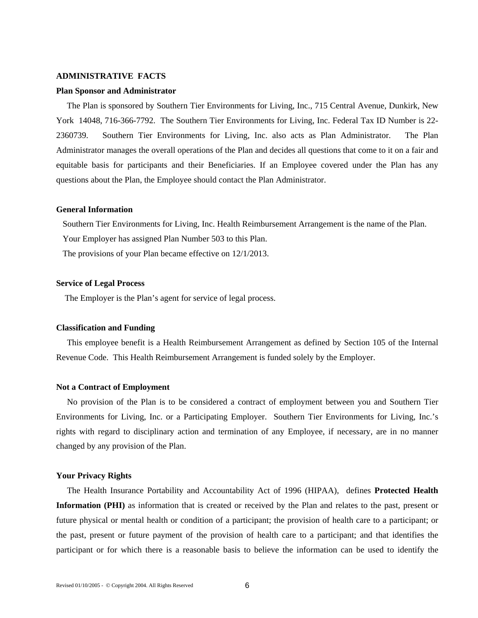#### **ADMINISTRATIVE FACTS**

#### **Plan Sponsor and Administrator**

The Plan is sponsored by Southern Tier Environments for Living, Inc., 715 Central Avenue, Dunkirk, New York 14048, 716-366-7792. The Southern Tier Environments for Living, Inc. Federal Tax ID Number is 22- 2360739. Southern Tier Environments for Living, Inc. also acts as Plan Administrator. The Plan Administrator manages the overall operations of the Plan and decides all questions that come to it on a fair and equitable basis for participants and their Beneficiaries. If an Employee covered under the Plan has any questions about the Plan, the Employee should contact the Plan Administrator.

#### **General Information**

Southern Tier Environments for Living, Inc. Health Reimbursement Arrangement is the name of the Plan.

Your Employer has assigned Plan Number 503 to this Plan.

The provisions of your Plan became effective on 12/1/2013.

## **Service of Legal Process**

The Employer is the Plan's agent for service of legal process.

#### **Classification and Funding**

This employee benefit is a Health Reimbursement Arrangement as defined by Section 105 of the Internal Revenue Code. This Health Reimbursement Arrangement is funded solely by the Employer.

#### **Not a Contract of Employment**

 No provision of the Plan is to be considered a contract of employment between you and Southern Tier Environments for Living, Inc. or a Participating Employer. Southern Tier Environments for Living, Inc.'s rights with regard to disciplinary action and termination of any Employee, if necessary, are in no manner changed by any provision of the Plan.

#### **Your Privacy Rights**

The Health Insurance Portability and Accountability Act of 1996 (HIPAA), defines **Protected Health Information (PHI)** as information that is created or received by the Plan and relates to the past, present or future physical or mental health or condition of a participant; the provision of health care to a participant; or the past, present or future payment of the provision of health care to a participant; and that identifies the participant or for which there is a reasonable basis to believe the information can be used to identify the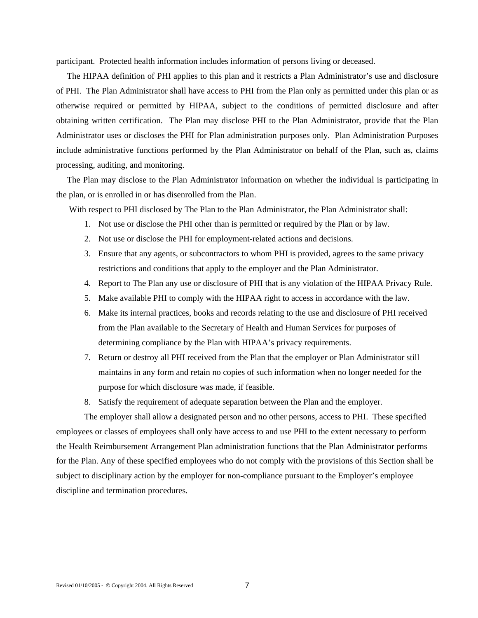participant. Protected health information includes information of persons living or deceased.

 The HIPAA definition of PHI applies to this plan and it restricts a Plan Administrator's use and disclosure of PHI. The Plan Administrator shall have access to PHI from the Plan only as permitted under this plan or as otherwise required or permitted by HIPAA, subject to the conditions of permitted disclosure and after obtaining written certification. The Plan may disclose PHI to the Plan Administrator, provide that the Plan Administrator uses or discloses the PHI for Plan administration purposes only. Plan Administration Purposes include administrative functions performed by the Plan Administrator on behalf of the Plan, such as, claims processing, auditing, and monitoring.

 The Plan may disclose to the Plan Administrator information on whether the individual is participating in the plan, or is enrolled in or has disenrolled from the Plan.

With respect to PHI disclosed by The Plan to the Plan Administrator, the Plan Administrator shall:

- 1. Not use or disclose the PHI other than is permitted or required by the Plan or by law.
- 2. Not use or disclose the PHI for employment-related actions and decisions.
- 3. Ensure that any agents, or subcontractors to whom PHI is provided, agrees to the same privacy restrictions and conditions that apply to the employer and the Plan Administrator.
- 4. Report to The Plan any use or disclosure of PHI that is any violation of the HIPAA Privacy Rule.
- 5. Make available PHI to comply with the HIPAA right to access in accordance with the law.
- 6. Make its internal practices, books and records relating to the use and disclosure of PHI received from the Plan available to the Secretary of Health and Human Services for purposes of determining compliance by the Plan with HIPAA's privacy requirements.
- 7. Return or destroy all PHI received from the Plan that the employer or Plan Administrator still maintains in any form and retain no copies of such information when no longer needed for the purpose for which disclosure was made, if feasible.
- 8. Satisfy the requirement of adequate separation between the Plan and the employer.

The employer shall allow a designated person and no other persons, access to PHI. These specified employees or classes of employees shall only have access to and use PHI to the extent necessary to perform the Health Reimbursement Arrangement Plan administration functions that the Plan Administrator performs for the Plan. Any of these specified employees who do not comply with the provisions of this Section shall be subject to disciplinary action by the employer for non-compliance pursuant to the Employer's employee discipline and termination procedures.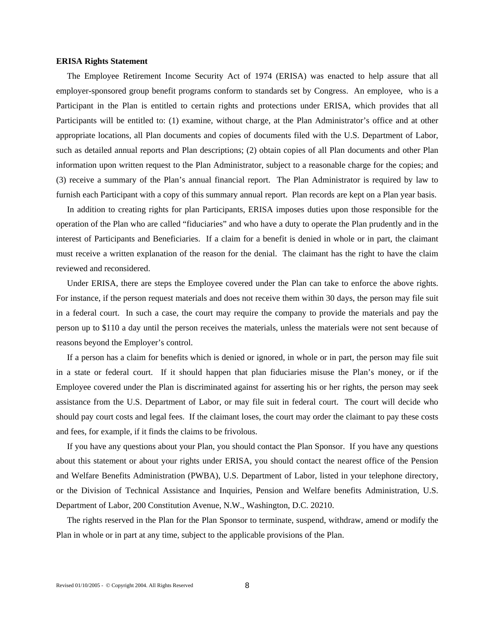#### **ERISA Rights Statement**

 The Employee Retirement Income Security Act of 1974 (ERISA) was enacted to help assure that all employer-sponsored group benefit programs conform to standards set by Congress. An employee, who is a Participant in the Plan is entitled to certain rights and protections under ERISA, which provides that all Participants will be entitled to: (1) examine, without charge, at the Plan Administrator's office and at other appropriate locations, all Plan documents and copies of documents filed with the U.S. Department of Labor, such as detailed annual reports and Plan descriptions; (2) obtain copies of all Plan documents and other Plan information upon written request to the Plan Administrator, subject to a reasonable charge for the copies; and (3) receive a summary of the Plan's annual financial report. The Plan Administrator is required by law to furnish each Participant with a copy of this summary annual report. Plan records are kept on a Plan year basis.

 In addition to creating rights for plan Participants, ERISA imposes duties upon those responsible for the operation of the Plan who are called "fiduciaries" and who have a duty to operate the Plan prudently and in the interest of Participants and Beneficiaries. If a claim for a benefit is denied in whole or in part, the claimant must receive a written explanation of the reason for the denial. The claimant has the right to have the claim reviewed and reconsidered.

 Under ERISA, there are steps the Employee covered under the Plan can take to enforce the above rights. For instance, if the person request materials and does not receive them within 30 days, the person may file suit in a federal court. In such a case, the court may require the company to provide the materials and pay the person up to \$110 a day until the person receives the materials, unless the materials were not sent because of reasons beyond the Employer's control.

 If a person has a claim for benefits which is denied or ignored, in whole or in part, the person may file suit in a state or federal court. If it should happen that plan fiduciaries misuse the Plan's money, or if the Employee covered under the Plan is discriminated against for asserting his or her rights, the person may seek assistance from the U.S. Department of Labor, or may file suit in federal court. The court will decide who should pay court costs and legal fees. If the claimant loses, the court may order the claimant to pay these costs and fees, for example, if it finds the claims to be frivolous.

 If you have any questions about your Plan, you should contact the Plan Sponsor. If you have any questions about this statement or about your rights under ERISA, you should contact the nearest office of the Pension and Welfare Benefits Administration (PWBA), U.S. Department of Labor, listed in your telephone directory, or the Division of Technical Assistance and Inquiries, Pension and Welfare benefits Administration, U.S. Department of Labor, 200 Constitution Avenue, N.W., Washington, D.C. 20210.

 The rights reserved in the Plan for the Plan Sponsor to terminate, suspend, withdraw, amend or modify the Plan in whole or in part at any time, subject to the applicable provisions of the Plan.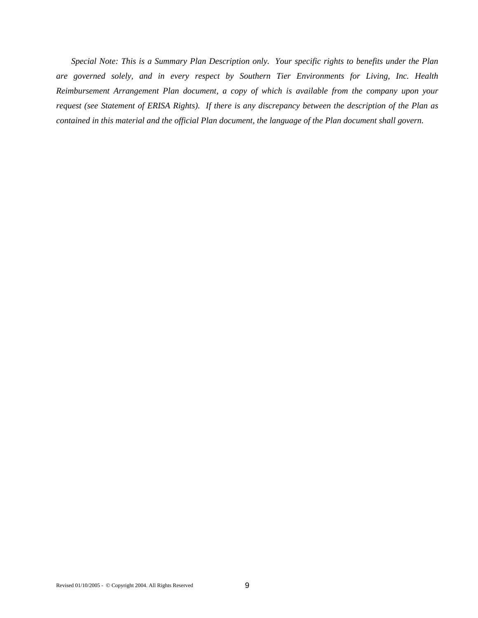*Special Note: This is a Summary Plan Description only. Your specific rights to benefits under the Plan are governed solely, and in every respect by Southern Tier Environments for Living, Inc. Health Reimbursement Arrangement Plan document, a copy of which is available from the company upon your request (see Statement of ERISA Rights). If there is any discrepancy between the description of the Plan as contained in this material and the official Plan document, the language of the Plan document shall govern.*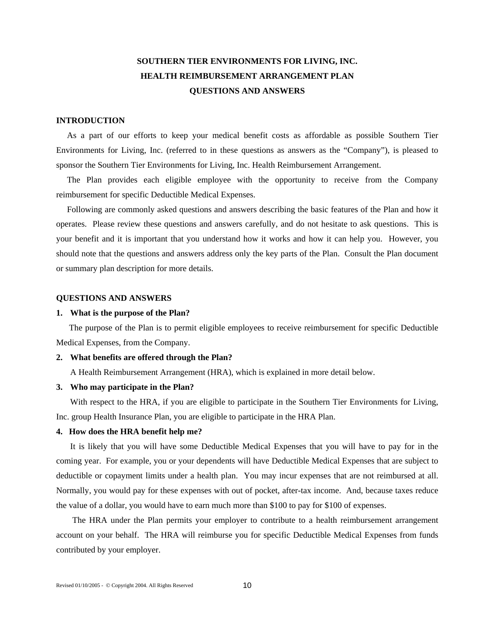# **SOUTHERN TIER ENVIRONMENTS FOR LIVING, INC. HEALTH REIMBURSEMENT ARRANGEMENT PLAN QUESTIONS AND ANSWERS**

# **INTRODUCTION**

 As a part of our efforts to keep your medical benefit costs as affordable as possible Southern Tier Environments for Living, Inc. (referred to in these questions as answers as the "Company"), is pleased to sponsor the Southern Tier Environments for Living, Inc. Health Reimbursement Arrangement.

The Plan provides each eligible employee with the opportunity to receive from the Company reimbursement for specific Deductible Medical Expenses.

 Following are commonly asked questions and answers describing the basic features of the Plan and how it operates. Please review these questions and answers carefully, and do not hesitate to ask questions. This is your benefit and it is important that you understand how it works and how it can help you. However, you should note that the questions and answers address only the key parts of the Plan. Consult the Plan document or summary plan description for more details.

#### **QUESTIONS AND ANSWERS**

#### **1. What is the purpose of the Plan?**

The purpose of the Plan is to permit eligible employees to receive reimbursement for specific Deductible Medical Expenses, from the Company.

#### **2. What benefits are offered through the Plan?**

A Health Reimbursement Arrangement (HRA), which is explained in more detail below.

#### **3. Who may participate in the Plan?**

With respect to the HRA, if you are eligible to participate in the Southern Tier Environments for Living, Inc. group Health Insurance Plan, you are eligible to participate in the HRA Plan.

## **4. How does the HRA benefit help me?**

It is likely that you will have some Deductible Medical Expenses that you will have to pay for in the coming year. For example, you or your dependents will have Deductible Medical Expenses that are subject to deductible or copayment limits under a health plan. You may incur expenses that are not reimbursed at all. Normally, you would pay for these expenses with out of pocket, after-tax income. And, because taxes reduce the value of a dollar, you would have to earn much more than \$100 to pay for \$100 of expenses.

 The HRA under the Plan permits your employer to contribute to a health reimbursement arrangement account on your behalf. The HRA will reimburse you for specific Deductible Medical Expenses from funds contributed by your employer.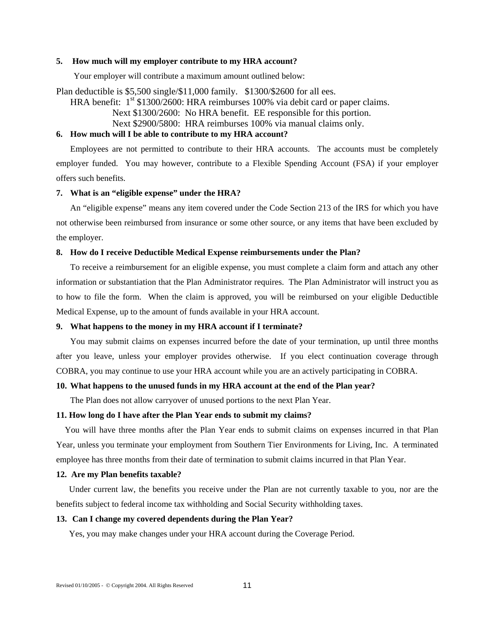#### **5. How much will my employer contribute to my HRA account?**

Your employer will contribute a maximum amount outlined below:

Plan deductible is \$5,500 single/\$11,000 family. \$1300/\$2600 for all ees.

HRA benefit:  $1<sup>st</sup>$  \$1300/2600: HRA reimburses 100% via debit card or paper claims. Next \$1300/2600: No HRA benefit. EE responsible for this portion. Next \$2900/5800: HRA reimburses 100% via manual claims only.

#### **6. How much will I be able to contribute to my HRA account?**

Employees are not permitted to contribute to their HRA accounts. The accounts must be completely employer funded. You may however, contribute to a Flexible Spending Account (FSA) if your employer offers such benefits.

# **7. What is an "eligible expense" under the HRA?**

An "eligible expense" means any item covered under the Code Section 213 of the IRS for which you have not otherwise been reimbursed from insurance or some other source, or any items that have been excluded by the employer.

#### **8. How do I receive Deductible Medical Expense reimbursements under the Plan?**

To receive a reimbursement for an eligible expense, you must complete a claim form and attach any other information or substantiation that the Plan Administrator requires. The Plan Administrator will instruct you as to how to file the form. When the claim is approved, you will be reimbursed on your eligible Deductible Medical Expense, up to the amount of funds available in your HRA account.

# **9. What happens to the money in my HRA account if I terminate?**

You may submit claims on expenses incurred before the date of your termination, up until three months after you leave, unless your employer provides otherwise. If you elect continuation coverage through COBRA, you may continue to use your HRA account while you are an actively participating in COBRA.

# **10. What happens to the unused funds in my HRA account at the end of the Plan year?**

The Plan does not allow carryover of unused portions to the next Plan Year.

#### **11. How long do I have after the Plan Year ends to submit my claims?**

 You will have three months after the Plan Year ends to submit claims on expenses incurred in that Plan Year, unless you terminate your employment from Southern Tier Environments for Living, Inc. A terminated employee has three months from their date of termination to submit claims incurred in that Plan Year.

#### **12. Are my Plan benefits taxable?**

 Under current law, the benefits you receive under the Plan are not currently taxable to you, nor are the benefits subject to federal income tax withholding and Social Security withholding taxes.

#### **13. Can I change my covered dependents during the Plan Year?**

Yes, you may make changes under your HRA account during the Coverage Period.